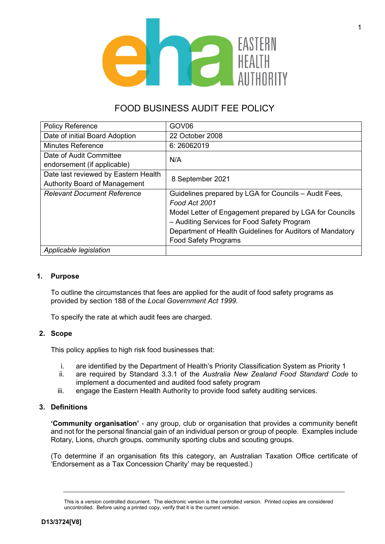

# FOOD BUSINESS AUDIT FEE POLICY

| <b>Policy Reference</b>              | GOV <sub>06</sub>                                         |
|--------------------------------------|-----------------------------------------------------------|
| Date of initial Board Adoption       | 22 October 2008                                           |
| <b>Minutes Reference</b>             | 6:26062019                                                |
| Date of Audit Committee              | N/A                                                       |
| endorsement (if applicable)          |                                                           |
| Date last reviewed by Eastern Health | 8 September 2021                                          |
| <b>Authority Board of Management</b> |                                                           |
| <b>Relevant Document Reference</b>   | Guidelines prepared by LGA for Councils - Audit Fees,     |
|                                      | Food Act 2001                                             |
|                                      | Model Letter of Engagement prepared by LGA for Councils   |
|                                      | - Auditing Services for Food Safety Program               |
|                                      | Department of Health Guidelines for Auditors of Mandatory |
|                                      | <b>Food Safety Programs</b>                               |
| Applicable legislation               |                                                           |

# **1. Purpose**

To outline the circumstances that fees are applied for the audit of food safety programs as provided by section 188 of the *Local Government Act 1999*.

To specify the rate at which audit fees are charged.

# **2. Scope**

This policy applies to high risk food businesses that:

- i. are identified by the Department of Health's Priority Classification System as Priority 1
- ii. are required by Standard 3.3.1 of the *Australia New Zealand Food Standard Code* to implement a documented and audited food safety program
- iii. engage the Eastern Health Authority to provide food safety auditing services.

# **3. Definitions**

**'Community organisation'** - any group, club or organisation that provides a community benefit and not for the personal financial gain of an individual person or group of people. Examples include Rotary, Lions, church groups, community sporting clubs and scouting groups.

(To determine if an organisation fits this category, an Australian Taxation Office certificate of 'Endorsement as a Tax Concession Charity' may be requested.)

This is a version controlled document. The electronic version is the controlled version. Printed copies are considered uncontrolled. Before using a printed copy, verify that it is the current version.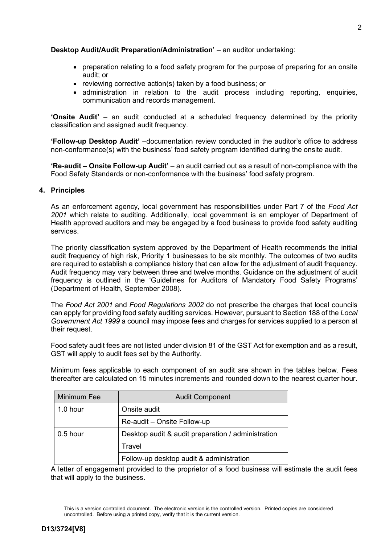# **Desktop Audit/Audit Preparation/Administration'** - an auditor undertaking:

- preparation relating to a food safety program for the purpose of preparing for an onsite audit; or
- reviewing corrective action(s) taken by a food business; or
- administration in relation to the audit process including reporting, enquiries, communication and records management.

**'Onsite Audit'** – an audit conducted at a scheduled frequency determined by the priority classification and assigned audit frequency.

**'Follow-up Desktop Audit'** –documentation review conducted in the auditor's office to address non-conformance(s) with the business' food safety program identified during the onsite audit.

**'Re-audit – Onsite Follow-up Audit'** – an audit carried out as a result of non-compliance with the Food Safety Standards or non-conformance with the business' food safety program.

## **4. Principles**

As an enforcement agency, local government has responsibilities under Part 7 of the *Food Act 2001* which relate to auditing. Additionally, local government is an employer of Department of Health approved auditors and may be engaged by a food business to provide food safety auditing services.

The priority classification system approved by the Department of Health recommends the initial audit frequency of high risk, Priority 1 businesses to be six monthly. The outcomes of two audits are required to establish a compliance history that can allow for the adjustment of audit frequency. Audit frequency may vary between three and twelve months. Guidance on the adjustment of audit frequency is outlined in the 'Guidelines for Auditors of Mandatory Food Safety Programs' (Department of Health, September 2008).

The *Food Act 2001* and *Food Regulations 2002* do not prescribe the charges that local councils can apply for providing food safety auditing services. However, pursuant to Section 188 of the *Local Government Act 1999* a council may impose fees and charges for services supplied to a person at their request.

Food safety audit fees are not listed under division 81 of the GST Act for exemption and as a result, GST will apply to audit fees set by the Authority.

Minimum fees applicable to each component of an audit are shown in the tables below. Fees thereafter are calculated on 15 minutes increments and rounded down to the nearest quarter hour.

| Minimum Fee | <b>Audit Component</b>                             |  |
|-------------|----------------------------------------------------|--|
| $1.0$ hour  | Onsite audit                                       |  |
|             | Re-audit – Onsite Follow-up                        |  |
| $0.5$ hour  | Desktop audit & audit preparation / administration |  |
|             | Travel                                             |  |
|             | Follow-up desktop audit & administration           |  |

A letter of engagement provided to the proprietor of a food business will estimate the audit fees that will apply to the business.

This is a version controlled document. The electronic version is the controlled version. Printed copies are considered uncontrolled. Before using a printed copy, verify that it is the current version.